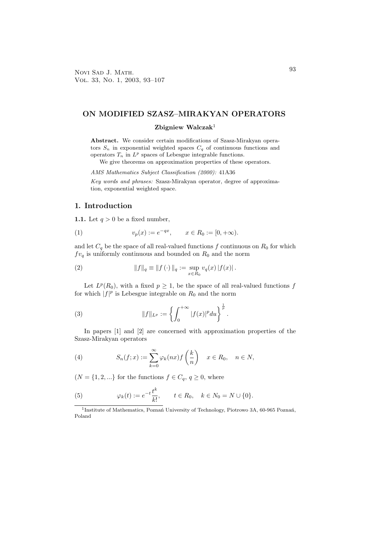#### **ON MODIFIED SZASZ–MIRAKYAN OPERATORS**

### **Zbigniew Walczak**<sup>1</sup>

**Abstract.** We consider certain modifications of Szasz-Mirakyan operators  $S_n$  in exponential weighted spaces  $C_q$  of continuous functions and operators  $T_n$  in  $L^p$  spaces of Lebesgue integrable functions.

We give theorems on approximation properties of these operators.

AMS Mathematics Subject Classification (2000): 41A36

Key words and phrases: Szasz-Mirakyan operator, degree of approximation, exponential weighted space.

#### **1. Introduction**

**1.1.** Let  $q > 0$  be a fixed number,

(1) 
$$
v_p(x) := e^{-qx}, \qquad x \in R_0 := [0, +\infty).
$$

and let  $C_q$  be the space of all real-valued functions f continuous on  $R_0$  for which  $f v_q$  is uniformly continuous and bounded on  $R_0$  and the norm

(2) 
$$
||f||_q \equiv ||f(\cdot)||_q := \sup_{x \in R_0} v_q(x) |f(x)|.
$$

Let  $L^p(R_0)$ , with a fixed  $p \geq 1$ , be the space of all real-valued functions f for which  $|f|^p$  is Lebesgue integrable on  $R_0$  and the norm

(3) 
$$
||f||_{L^p} := \left\{ \int_0^{+\infty} |f(x)|^p du \right\}^{\frac{1}{p}}.
$$

In papers [1] and [2] are concerned with approximation properties of the Szasz-Mirakyan operators

(4) 
$$
S_n(f;x) := \sum_{k=0}^{\infty} \varphi_k(nx) f\left(\frac{k}{n}\right) \quad x \in R_0, \quad n \in N,
$$

 $(N = \{1, 2, \ldots\})$  for the functions  $f \in C_q$ ,  $q \ge 0$ , where

(5) 
$$
\varphi_k(t) := e^{-t} \frac{t^k}{k!}, \qquad t \in R_0, \quad k \in N_0 = N \cup \{0\}.
$$

<sup>1</sup>Institute of Mathematics, Poznań University of Technology, Piotrowo 3A, 60-965 Poznań, Poland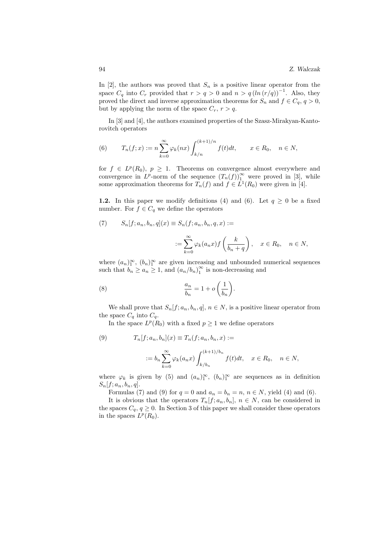In [2], the authors was proved that  $S_n$  is a positive linear operator from the space  $C_q$  into  $C_r$  provided that  $r>q>0$  and  $n>q (ln (r/q))^{-1}$ . Also, they proved the direct and inverse approximation theorems for  $S_n$  and  $f \in C_q$ ,  $q > 0$ , but by applying the norm of the space  $C_r$ ,  $r > q$ .

In [3] and [4], the authors examined properties of the Szasz-Mirakyan-Kantorovitch operators

(6) 
$$
T_n(f;x) := n \sum_{k=0}^{\infty} \varphi_k(nx) \int_{k/n}^{(k+1)/n} f(t)dt, \qquad x \in R_0, \quad n \in N,
$$

for  $f \in L^p(R_0)$ ,  $p \geq 1$ . Theorems on convergence almost everywhere and convergence in  $L^p$ -norm of the sequence  $(T_n(f))_1^{\infty}$  were proved in [3], while some approximation theorems for  $T_n(f)$  and  $f \in L^1(R_0)$  were given in [4].

**1.2.** In this paper we modify definitions (4) and (6). Let  $q \ge 0$  be a fixed number. For  $f \in C_q$  we define the operators

(7) 
$$
S_n[f; a_n, b_n, q](x) \equiv S_n(f; a_n, b_n, q, x) :=
$$

$$
:= \sum_{n=0}^{\infty} \varphi_k(a_n x) f\left(\frac{k}{k_{n-1} - s}\right), \quad x \in R_0, \quad n \in N,
$$

 $k=0$ 

where  $(a_n)_1^{\infty}$ ,  $(b_n)_1^{\infty}$  are given increasing and unbounded numerical sequences such that  $b_n \ge a_n \ge 1$ , and  $(a_n/b_n)_1^{\infty}$  is non-decreasing and

 $b_n + q$ 

(8) 
$$
\frac{a_n}{b_n} = 1 + o\left(\frac{1}{b_n}\right).
$$

We shall prove that  $S_n[f; a_n, b_n, q], n \in N$ , is a positive linear operator from the space  $C_q$  into  $C_q$ .

In the space  $L^p(R_0)$  with a fixed  $p \geq 1$  we define operators

(9) 
$$
T_n[f;a_n,b_n](x) \equiv T_n(f;a_n,b_n,x) :=
$$

$$
:= b_n \sum_{k=0}^{\infty} \varphi_k(a_n x) \int_{k/b_n}^{(k+1)/b_n} f(t) dt, \quad x \in R_0, \quad n \in N,
$$

where  $\varphi_k$  is given by (5) and  $(a_n)_1^{\infty}$ ,  $(b_n)_1^{\infty}$  are sequences as in definition  $S_n[f; a_n, b_n, q].$ 

Formulas (7) and (9) for  $q = 0$  and  $a_n = b_n = n$ ,  $n \in N$ , yield (4) and (6).

It is obvious that the operators  $T_n[f; a_n, b_n], n \in N$ , can be considered in the spaces  $C_q$ ,  $q \geq 0$ . In Section 3 of this paper we shall consider these operators in the spaces  $L^p(R_0)$ .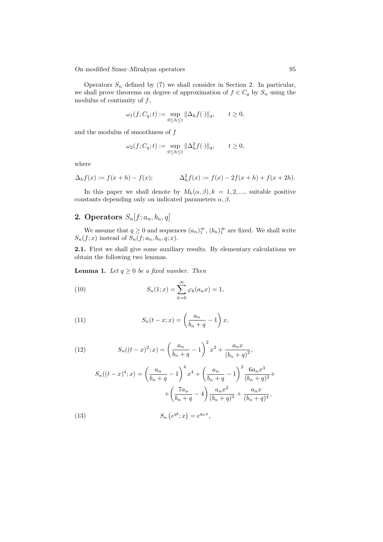Operators  $S_n$  defined by (7) we shall consider in Section 2. In particular, we shall prove theorems on degree of approximation of  $f \in C_q$  by  $S_n$  using the modulus of continuity of  $f$ ,

$$
\omega_1(f; C_q; t) := \sup_{0 \le h \le t} ||\Delta_h f(\cdot)||_q, \qquad t \ge 0,
$$

and the modulus of smoothness of  $f$ 

$$
\omega_2(f; C_q; t) := \sup_{0 \le h \le t} \|\Delta_h^2 f(\cdot)\|_q, \qquad t \ge 0,
$$

where

$$
\Delta_h f(x) := f(x+h) - f(x); \qquad \Delta_h^2 f(x) := f(x) - 2f(x+h) + f(x+2h).
$$

In this paper we shall denote by  $M_k(\alpha, \beta), k = 1, 2, \dots$ , suitable positive constants depending only on indicated parameters  $\alpha, \beta$ .

## **2. Operators**  $S_n[f; a_n, b_n, q]$

We assume that  $q \ge 0$  and sequences  $(a_n)_1^{\infty}$ ,  $(b_n)_1^{\infty}$  are fixed. We shall write  $S_n(f; x)$  instead of  $S_n(f; a_n, b_n, q; x)$ .

**2.1.** First we shall give some auxiliary results. By elementary calculations we obtain the following two lemmas.

**Lemma 1.** *Let*  $q \geq 0$  *be a fixed number. Then* 

(10) 
$$
S_n(1;x) = \sum_{k=0}^{\infty} \varphi_k(a_n x) = 1,
$$

(11) 
$$
S_n(t-x;x) = \left(\frac{a_n}{b_n+q} - 1\right)x,
$$

(12) 
$$
S_n((t-x)^2;x) = \left(\frac{a_n}{b_n+q}-1\right)^2 x^2 + \frac{a_n x}{(b_n+q)^2},
$$

(13)  
\n
$$
S_n((t-x)^4; x) = \left(\frac{a_n}{b_n + q} - 1\right)^4 x^4 + \left(\frac{a_n}{b_n + q} - 1\right)^2 \frac{6a_n x^3}{(b_n + q)^2} + \left(\frac{7a_n}{b_n + q} - 4\right) \frac{a_n x^2}{(b_n + q)^3} + \frac{a_n x}{(b_n + q)^4},
$$
\n
$$
S_n(e^{qt}; x) = e^{qnx},
$$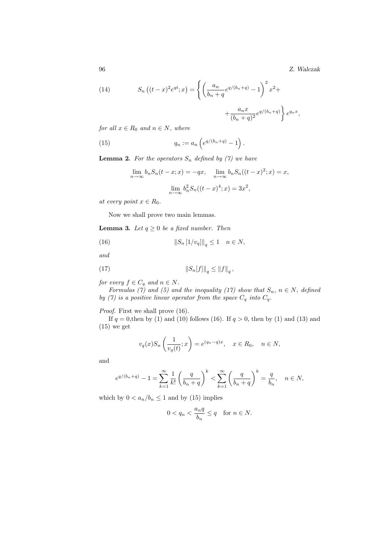96 *Z. Walczak*

(14) 
$$
S_n((t-x)^2 e^{qt}; x) = \left\{ \left( \frac{a_n}{b_n + q} e^{q/(b_n + q)} - 1 \right)^2 x^2 + \right\}
$$

$$
+\frac{a_nx}{(b_n+q)^2}e^{q/(b_n+q)}\bigg\}\,e^{q_nx},
$$

*for all*  $x \in R_0$  *and*  $n \in N$ *, where* 

(15) 
$$
q_n := a_n \left( e^{q/(b_n + q)} - 1 \right).
$$

**Lemma 2.** For the operators  $S_n$  defined by (7) we have

$$
\lim_{n \to \infty} b_n S_n(t - x; x) = -qx, \quad \lim_{n \to \infty} b_n S_n((t - x)^2; x) = x,
$$

$$
\lim_{n \to \infty} b_n^2 S_n((t - x)^4; x) = 3x^2,
$$

*at every point*  $x \in R_0$ *.* 

Now we shall prove two main lemmas.

**Lemma 3.** *Let*  $q \geq 0$  *be a fixed number. Then* 

(16) 
$$
\|S_n\left[1/v_q\right]\|_q \le 1 \quad n \in N,
$$

*and*

(17) 
$$
\|S_n[f]\|_q \le \|f\|_q,
$$

*for every*  $f \in C_q$  *and*  $n \in N$ *.* 

*Formulas (7) and (5) and the inequality (17) show that*  $S_n$ ,  $n \in N$ , defined *by (7) is a positive linear operator from the space*  $C_q$  *into*  $C_q$ .

*Proof.* First we shall prove (16).

If  $q = 0$ , then by (1) and (10) follows (16). If  $q > 0$ , then by (1) and (13) and  $(15)$  we get

$$
v_q(x)S_n\left(\frac{1}{v_q(t)};x\right) = e^{(q_n-q)x}, \quad x \in R_0, \quad n \in N,
$$

and

$$
e^{q/(b_n+q)} - 1 = \sum_{k=1}^{\infty} \frac{1}{k!} \left(\frac{q}{b_n+q}\right)^k < \sum_{k=1}^{\infty} \left(\frac{q}{b_n+q}\right)^k = \frac{q}{b_n}, \quad n \in N,
$$

which by  $0 < a_n/b_n \leq 1$  and by (15) implies

$$
0 < q_n < \frac{a_n q}{b_n} \le q \quad \text{for } n \in N.
$$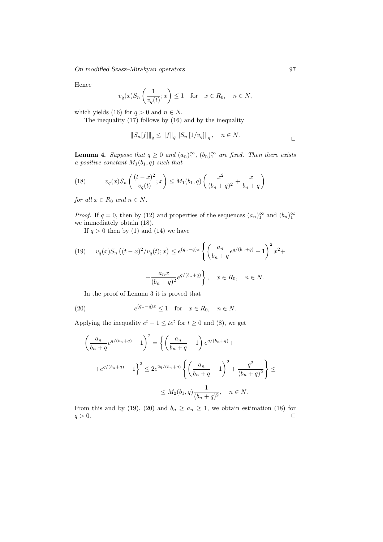Hence

$$
v_q(x)S_n\left(\frac{1}{v_q(t)};x\right) \le 1
$$
 for  $x \in R_0$ ,  $n \in N$ ,

which yields (16) for  $q > 0$  and  $n \in N$ .

The inequality (17) follows by (16) and by the inequality

$$
||S_n[f]||_q \le ||f||_q ||S_n[1/v_q]||_q
$$
,  $n \in N$ .

**Lemma 4.** *Suppose that*  $q \geq 0$  *and*  $(a_n)_{1}^{\infty}$ ,  $(b_n)_{1}^{\infty}$  *are fixed. Then there exists* a mestive constant  $M(b, a)$  such that *a positive constant* M1(b1, q) *such that*

(18) 
$$
v_q(x)S_n\left(\frac{(t-x)^2}{v_q(t)};x\right) \le M_1(b_1,q)\left(\frac{x^2}{(b_n+q)^2} + \frac{x}{b_n+q}\right)
$$

*for all*  $x \in R_0$  *and*  $n \in N$ *.* 

*Proof.* If  $q = 0$ , then by (12) and properties of the sequences  $(a_n)_1^{\infty}$  and  $(b_n)_1^{\infty}$ we immediately obtain (18).

If  $q > 0$  then by (1) and (14) we have

(19) 
$$
v_q(x)S_n((t-x)^2/v_q(t);x) \le e^{(q_n-q)x} \left\{ \left( \frac{a_n}{b_n+q} e^{q/(b_n+q)} - 1 \right)^2 x^2 + \frac{a_n x}{(b_n+q)^2} e^{q/(b_n+q)} \right\}, \quad x \in R_0, \quad n \in N.
$$

In the proof of Lemma 3 it is proved that

(20) 
$$
e^{(q_n - q)x} \le 1 \quad \text{for} \quad x \in R_0, \quad n \in N.
$$

Applying the inequality  $e^t - 1 \leq te^t$  for  $t \geq 0$  and  $(8)$ , we get

$$
\left(\frac{a_n}{b_n+q}e^{q/(b_n+q)}-1\right)^2 = \left\{ \left(\frac{a_n}{b_n+q}-1\right)e^{q/(b_n+q)} + \right.
$$
  
 
$$
+e^{q/(b_n+q)}-1 \right\}^2 \le 2e^{2q/(b_n+q)} \left\{ \left(\frac{a_n}{b_n+q}-1\right)^2 + \frac{q^2}{(b_n+q)^2} \right\} \le
$$
  
 
$$
\le M_2(b_1,q) \frac{1}{(b_n+q)^2}, \quad n \in N.
$$

From this and by (19), (20) and  $b_n \ge a_n \ge 1$ , we obtain estimation (18) for  $q > 0.$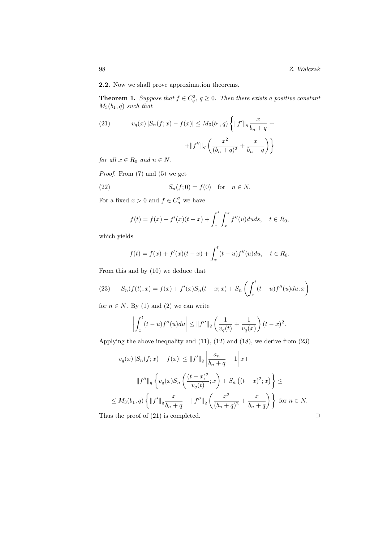**2.2.** Now we shall prove approximation theorems.

**Theorem 1.** *Suppose that*  $f \in C_q^2$ ,  $q \ge 0$ *. Then there exists a positive constant*  $M_2(h, q)$  such that M3(b1, q) *such that*

(21) 
$$
v_q(x) |S_n(f; x) - f(x)| \le M_3(b_1, q) \left\{ ||f'||_q \frac{x}{b_n + q} + ||f''||_q \left( \frac{x^2}{(b_n + q)^2} + \frac{x}{b_n + q} \right) \right\}
$$

*for all*  $x \in R_0$  *and*  $n \in N$ *.* 

*Proof.* From (7) and (5) we get

(22) 
$$
S_n(f;0) = f(0) \text{ for } n \in N.
$$

For a fixed  $x > 0$  and  $f \in C_q^2$  we have

$$
f(t) = f(x) + f'(x)(t - x) + \int_x^t \int_x^s f''(u) du ds, \quad t \in R_0,
$$

which yields

$$
f(t) = f(x) + f'(x)(t - x) + \int_x^t (t - u) f''(u) du, \quad t \in R_0.
$$

From this and by (10) we deduce that

(23) 
$$
S_n(f(t);x) = f(x) + f'(x)S_n(t-x;x) + S_n\left(\int_x^t (t-u)f''(u)du; x\right)
$$

for  $n \in N$ . By (1) and (2) we can write

$$
\left| \int_x^t (t-u)f''(u)du \right| \leq ||f''||_q \left( \frac{1}{v_q(t)} + \frac{1}{v_q(x)} \right) (t-x)^2.
$$

Applying the above inequality and (11), (12) and (18), we derive from (23)

$$
v_q(x) |S_n(f; x) - f(x)| \le ||f'||_q \left| \frac{a_n}{b_n + q} - 1 \right| x +
$$
  

$$
||f''||_q \left\{ v_q(x) S_n \left( \frac{(t - x)^2}{v_q(t)}; x \right) + S_n \left( (t - x)^2; x \right) \right\} \le
$$
  

$$
\le M_3(b_1, q) \left\{ ||f'||_q \frac{x}{b_n + q} + ||f''||_q \left( \frac{x^2}{(b_n + q)^2} + \frac{x}{b_n + q} \right) \right\} \text{ for } n \in N.
$$
  
Thus the proof of (21) is completed.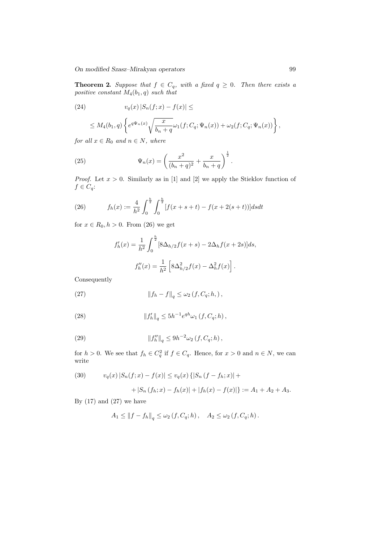**Theorem 2.** Suppose that  $f \in C_q$ , with a fixed  $q \geq 0$ . Then there exists a *positive constant*  $M_4(b_1, q)$  *such that* 

(24) 
$$
v_q(x)|S_n(f;x)-f(x)| \leq
$$

$$
\leq M_4(b_1,q)\left\{e^{q\Psi_n(x)}\sqrt{\frac{x}{b_n+q}}\omega_1(f;C_q;\Psi_n(x))+\omega_2(f;C_q;\Psi_n(x))\right\},\,
$$

*for all*  $x \in R_0$  *and*  $n \in N$ *, where* 

(25) 
$$
\Psi_n(x) = \left(\frac{x^2}{(b_n + q)^2} + \frac{x}{b_n + q}\right)^{\frac{1}{2}}.
$$

*Proof.* Let  $x > 0$ . Similarly as in [1] and [2] we apply the Stieklov function of  $f \in C_q$ :

(26) 
$$
f_h(x) := \frac{4}{h^2} \int_0^{\frac{h}{2}} \int_0^{\frac{h}{2}} [f(x+s+t) - f(x+2(s+t))] ds dt
$$

for  $x \in R_0, h > 0$ . From (26) we get

$$
f'_h(x) = \frac{1}{h^2} \int_0^{\frac{h}{2}} [8\Delta_{h/2}f(x+s) - 2\Delta_h f(x+2s)]ds,
$$
  

$$
f''_h(x) = \frac{1}{h^2} \left[ 8\Delta_{h/2}^2 f(x) - \Delta_h^2 f(x) \right].
$$

Consequently

(27) 
$$
\|f_h - f\|_q \le \omega_2(f, C_q; h, ),
$$

(28) 
$$
||f'_h||_q \leq 5h^{-1}e^{qh}\omega_1(f, C_q; h),
$$

(29) 
$$
||f''_h||_q \leq 9h^{-2}\omega_2(f, C_q; h),
$$

for  $h > 0$ . We see that  $f_h \in C_q^2$  if  $f \in C_q$ . Hence, for  $x > 0$  and  $n \in N$ , we can write

(30) 
$$
v_q(x) |S_n(f; x) - f(x)| \le v_q(x) \{ |S_n(f - f_h; x)| +
$$

$$
+ |S_n(f_h; x) - f_h(x)| + |f_h(x) - f(x)| \} := A_1 + A_2 + A_3.
$$

By  $(17)$  and  $(27)$  we have

$$
A_1 \le \|f - f_h\|_q \le \omega_2(f, C_q; h), \quad A_2 \le \omega_2(f, C_q; h).
$$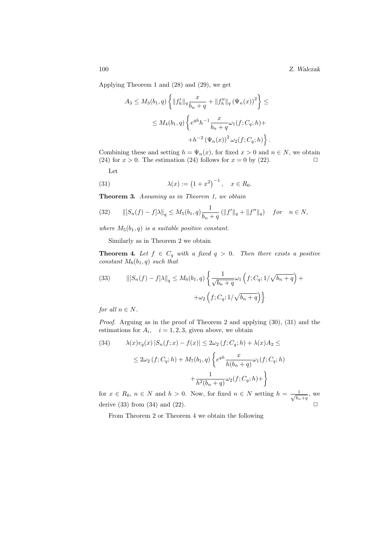100 *Z. Walczak*

Applying Theorem 1 and (28) and (29), we get

$$
A_3 \le M_3(b_1, q) \left\{ ||f'_h||_q \frac{x}{b_n + q} + ||f''_h||_q (\Psi_n(x))^2 \right\} \le
$$
  

$$
\le M_4(b_1, q) \left\{ e^{qh} h^{-1} \frac{x}{b_n + q} \omega_1(f; C_q; h) + h^{-2} (\Psi_n(x))^2 \omega_2(f; C_q; h) \right\}.
$$

Combining these and setting  $h = \Psi_n(x)$ , for fixed  $x > 0$  and  $n \in N$ , we obtain (24) for  $x > 0$ . The estimation (24) follows for  $x = 0$  by (22).

Let

(31) 
$$
\lambda(x) := (1 + x^2)^{-1}, \quad x \in R_0.
$$

**Theorem 3.** *Assuming as in Theorem 1, we obtain*

$$
(32) \qquad \left\| [S_n(f) - f] \lambda \right\|_q \le M_5(b_1, q) \frac{1}{b_n + q} \left( \|f'\|_q + \|f''\|_q \right) \quad for \quad n \in N,
$$

*where*  $M_5(b_1, q)$  *is a suitable positive constant.* 

Similarly as in Theorem 2 we obtain

**Theorem 4.** Let  $f \in C_q$  with a fixed  $q > 0$ . Then there exists a positive *constant*  $M_6(b_1, q)$  *such that* 

(33) 
$$
\| [S_n(f) - f] \lambda \|_q \le M_6(b_1, q) \left\{ \frac{1}{\sqrt{b_n + q}} \omega_1 \left( f; C_q; 1/\sqrt{b_n + q} \right) + \omega_2 \left( f; C_q; 1/\sqrt{b_n + q} \right) \right\}
$$

*for all*  $n \in N$ *.* 

*Proof.* Arguing as in the proof of Theorem 2 and applying  $(30)$ ,  $(31)$  and the estimations for  $A_i$ ,  $i = 1, 2, 3$ , given above, we obtain

(34) 
$$
\lambda(x)v_q(x)|S_n(f;x) - f(x)| \le 2\omega_2(f;C_q;h) + \lambda(x)A_2 \le
$$

$$
\le 2\omega_2(f;C_q;h) + M_7(b_1,q)\left\{e^{qh}\frac{x}{h(b_n+q)}\omega_1(f;C_q;h) + \frac{1}{h^2(b_n+q)}\omega_2(f;C_q;h) + \right\}
$$

for  $x \in R_0$ ,  $n \in N$  and  $h > 0$ . Now, for fixed  $n \in N$  setting  $h = \frac{-1}{\sqrt{k}}$  $\frac{1}{b_n+q}$ , we derive (33) from (34) and (22).  $\Box$ 

From Theorem 2 or Theorem 4 we obtain the following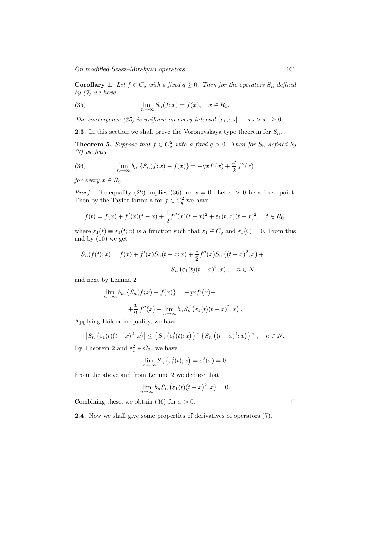**Corollary 1.** *Let*  $f \in C_q$  *with a fixed*  $q \geq 0$ *. Then for the operators*  $S_n$  *defined by (7) we have*

(35) 
$$
\lim_{n \to \infty} S_n(f; x) = f(x), \quad x \in R_0.
$$

*The convergence (35) is uniform on every interval*  $[x_1, x_2]$ ,  $x_2 > x_1 \geq 0$ *.* 

**2.3.** In this section we shall prove the Voronovskaya type theorem for  $S_n$ .

**Theorem 5.** Suppose that  $f \in C_q^2$  with a fixed  $q > 0$ . Then for  $S_n$  defined by  $(7)$  we have *(7) we have*

(36) 
$$
\lim_{n \to \infty} b_n \left\{ S_n(f; x) - f(x) \right\} = -qxf'(x) + \frac{x}{2}f''(x)
$$

*for every*  $x \in R_0$ *.* 

*Proof.* The equality (22) implies (36) for  $x = 0$ . Let  $x > 0$  be a fixed point. Then by the Taylor formula for  $f \in C_q^2$  we have

$$
f(t) = f(x) + f'(x)(t - x) + \frac{1}{2}f''(x)(t - x)^2 + \varepsilon_1(t; x)(t - x)^2, \quad t \in R_0,
$$

where  $\varepsilon_1(t) \equiv \varepsilon_1(t; x)$  is a function such that  $\varepsilon_1 \in C_q$  and  $\varepsilon_1(0) = 0$ . From this and by (10) we get

$$
S_n(f(t);x) = f(x) + f'(x)S_n(t-x;x) + \frac{1}{2}f''(x)S_n((t-x)^2;x) +
$$
  
+
$$
S_n(\varepsilon_1(t)(t-x)^2;x), \quad n \in N,
$$

and next by Lemma 2

$$
\lim_{n \to \infty} b_n \left\{ S_n(f; x) - f(x) \right\} = -qxf'(x) +
$$

$$
+ \frac{x}{2} f''(x) + \lim_{n \to \infty} b_n S_n \left( \varepsilon_1(t)(t - x)^2; x \right).
$$

Applying Hölder inequality, we have

$$
\left|S_n\left(\varepsilon_1(t)(t-x)^2; x\right)\right| \leq \left\{S_n\left(\varepsilon_1^2(t); x\right)\right\}^{\frac{1}{2}} \left\{S_n\left((t-x)^4; x\right)\right\}^{\frac{1}{2}}, \quad n \in N.
$$

By Theorem 2 and  $\varepsilon_1^2 \in C_{2q}$  we have

$$
\lim_{n \to \infty} S_n \left( \varepsilon_1^2(t); x \right) = \varepsilon_1^2(x) = 0.
$$

From the above and from Lemma 2 we deduce that

$$
\lim_{n \to \infty} b_n S_n \left( \varepsilon_1(t) (t - x)^2; x \right) = 0.
$$

Combining these, we obtain (36) for  $x > 0$ .

**2.4.** Now we shall give some properties of derivatives of operators (7).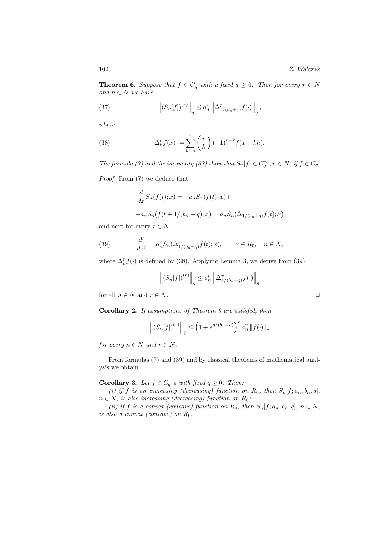**Theorem 6.** Suppose that  $f \in C_q$  with a fixed  $q \geq 0$ . Then for every  $r \in N$ *and* n ∈ N *we have*

(37) 
$$
\left\| \left( S_n[f] \right)^{(r)} \right\|_q \leq a_n^r \left\| \Delta_{1/(b_n+q)}^r f(\cdot) \right\|_q,
$$

*where*

(38) 
$$
\Delta_h^r f(x) := \sum_{k=0}^r {r \choose k} (-1)^{r-k} f(x + kh).
$$

*The formula (7) and the inequality (37) show that*  $S_n[f] \in C_q^{\infty}, n \in N$ , if  $f \in C_q$ .

*Proof.* From (7) we deduce that

$$
\frac{d}{dx}S_n(f(t);x) = -a_nS_n(f(t);x) ++a_nS_n(f(t+1/(b_n+q);x) = a_nS_n(\Delta_{1/(b_n+q)}f(t);x)
$$

and next for every  $r \in N$ 

(39) 
$$
\frac{d^r}{dx^r} = a_n^r S_n(\Delta_{1/(b_n+q)}^r f(t); x), \qquad x \in R_0, \quad n \in N,
$$

where  $\Delta_h^r f(\cdot)$  is defined by (38). Applying Lemma 3, we derive from (39)

$$
\left\| \left(S_n[f]\right)^{(r)} \right\|_q \le a_n^r \left\| \Delta_{1/(b_n+q)}^r f(\cdot) \right\|_q
$$

for all  $n \in N$  and  $r \in N$ .

**Corollary 2.** *If assumptions of Theorem 6 are satisfed, then*

$$
\left\| \left( S_n[f] \right)^{(r)} \right\|_q \le \left( 1 + e^{q/(b_n+q)} \right)^r a_n^r \left\| f(\cdot) \right\|_q
$$

*for every*  $n \in N$  *and*  $r \in N$ *.* 

From formulas (7) and (39) and by classical theorems of mathematical analysis we obtain

**Corollary 3.** *Let*  $f \in C_q$  *a with fixed*  $q \geq 0$ *. Then:* 

*(i)* if *f* is an increasing (decreasing) function on  $R_0$ , then  $S_n[f; a_n, b_n, q]$ ,  $n \in N$ , is also increasing (decreasing) function on  $R_0$ ;

*(ii) if f is a convex (concave) function on*  $R_0$ *, then*  $S_n[f; a_n, b_n, q]$ *,*  $n \in N$ *, is also a convex (concave) on* R0*.*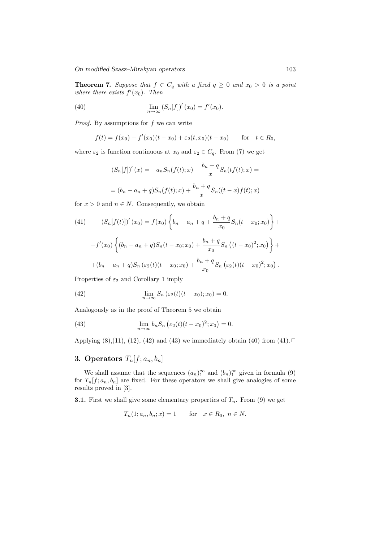**Theorem 7.** Suppose that  $f \in C_q$  with a fixed  $q \geq 0$  and  $x_0 > 0$  is a point where there exists  $f'(x_0)$ . Then

(40) 
$$
\lim_{n \to \infty} (S_n[f])'(x_0) = f'(x_0).
$$

*Proof.* By assumptions for f we can write

$$
f(t) = f(x_0) + f'(x_0)(t - x_0) + \varepsilon_2(t, x_0)(t - x_0) \quad \text{for} \quad t \in R_0,
$$

where  $\varepsilon_2$  is function continuous at  $x_0$  and  $\varepsilon_2 \in C_q$ . From (7) we get

$$
(S_n[f])'(x) = -a_n S_n(f(t);x) + \frac{b_n + q}{x} S_n(tf(t);x) =
$$
  
=  $(b_n - a_n + q) S_n(f(t);x) + \frac{b_n + q}{x} S_n((t - x)f(t);x)$ 

for  $x > 0$  and  $n \in N$ . Consequently, we obtain

(41) 
$$
(S_n[f(t)])'(x_0) = f(x_0) \left\{ b_n - a_n + q + \frac{b_n + q}{x_0} S_n(t - x_0; x_0) \right\} +
$$

$$
+ f'(x_0) \left\{ (b_n - a_n + q) S_n(t - x_0; x_0) + \frac{b_n + q}{x_0} S_n \left( (t - x_0)^2; x_0 \right) \right\} +
$$

$$
+ (b_n - a_n + q) S_n \left( \varepsilon_2(t) (t - x_0; x_0) + \frac{b_n + q}{x_0} S_n \left( \varepsilon_2(t) (t - x_0)^2; x_0 \right) \right).
$$

Properties of  $\varepsilon_2$  and Corollary 1 imply

(42) 
$$
\lim_{n \to \infty} S_n \left( \varepsilon_2(t)(t - x_0); x_0 \right) = 0.
$$

Analogously as in the proof of Theorem 5 we obtain

(43) 
$$
\lim_{n \to \infty} b_n S_n \left( \varepsilon_2(t) (t - x_0)^2; x_0 \right) = 0.
$$

Applying  $(8)$ , $(11)$ ,  $(12)$ ,  $(42)$  and  $(43)$  we immediately obtain  $(40)$  from  $(41)$ .  $\Box$ 

# **3. Operators**  $T_n[f; a_n, b_n]$

We shall assume that the sequences  $(a_n)_1^{\infty}$  and  $(b_n)_1^{\infty}$  given in formula (9) for  $T_n[f; a_n, b_n]$  are fixed. For these operators we shall give analogies of some results proved in [3].

**3.1.** First we shall give some elementary properties of  $T_n$ . From (9) we get

$$
T_n(1; a_n, b_n; x) = 1 \quad \text{for} \quad x \in R_0, \ n \in N.
$$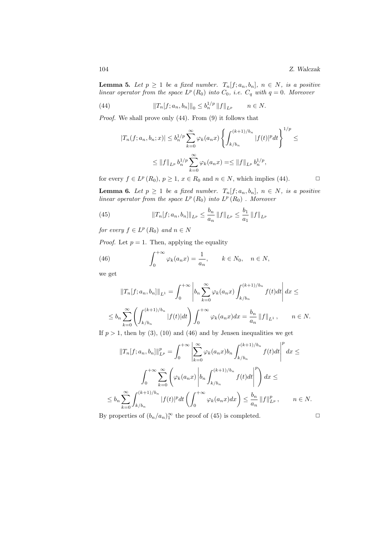**Lemma 5.** *Let*  $p \geq 1$  *be a fixed number.*  $T_n[f; a_n, b_n], n \in N$ *, is a positive linear operator from the space*  $L^p(R_0)$  *into*  $C_0$ *, i.e.*  $C_q$  *with*  $q = 0$ *. Moreover* 

(44) 
$$
||T_n[f;a_n,b_n]||_0 \leq b_n^{1/p} ||f||_{L^p} \qquad n \in N.
$$

*Proof.* We shall prove only (44). From (9) it follows that

$$
|T_n(f;a_n,b_n;x)| \le b_n^{1/p} \sum_{k=0}^{\infty} \varphi_k(a_n x) \left\{ \int_{k/b_n}^{(k+1)/b_n} |f(t)|^p dt \right\}^{1/p} \le
$$
  

$$
\le ||f||_{L^p} b_n^{1/p} \sum_{k=0}^{\infty} \varphi_k(a_n x) = \le ||f||_{L^p} b_n^{1/p},
$$

for every  $f \in L^p(R_0)$ ,  $p \ge 1$ ,  $x \in R_0$  and  $n \in N$ , which implies (44).

**Lemma 6.** *Let*  $p \ge 1$  *be a fixed number.*  $T_n[f; a_n, b_n], n \in N$ *, is a positive linear operator from the space*  $L^p(R_0)$  *into*  $L^p(R_0)$  *. Moreover* 

(45) 
$$
||T_n[f;a_n,b_n]||_{L^p} \leq \frac{b_n}{a_n} ||f||_{L^p} \leq \frac{b_1}{a_1} ||f||_{L^p}
$$

*for every*  $f \in L^p(R_0)$  *and*  $n \in N$ 

*Proof.* Let  $p = 1$ . Then, applying the equality

(46) 
$$
\int_0^{+\infty} \varphi_k(a_n x) = \frac{1}{a_n}, \qquad k \in N_0, \quad n \in N,
$$

we get

$$
||T_n[f;a_n,b_n]||_{L^1} = \int_0^{+\infty} \left| b_n \sum_{k=0}^{\infty} \varphi_k(a_n x) \int_{k/b_n}^{(k+1)/b_n} f(t) dt \right| dx \le
$$
  

$$
\leq b_n \sum_{k=0}^{\infty} \left( \int_{k/b_n}^{(k+1)/b_n} |f(t)| dt \right) \int_0^{+\infty} \varphi_k(a_n x) dx = \frac{b_n}{a_n} ||f||_{L^1}, \qquad n \in N.
$$

If  $p > 1$ , then by (3), (10) and (46) and by Jensen inequalities we get

$$
||T_{n}[f;a_{n},b_{n}]\|_{L^{p}}^{p} = \int_{0}^{+\infty} \left| \sum_{k=0}^{\infty} \varphi_{k}(a_{n}x)b_{n} \int_{k/b_{n}}^{(k+1)/b_{n}} f(t)dt \right|^{p} dx \le
$$
  

$$
\int_{0}^{+\infty} \sum_{k=0}^{\infty} \left( \varphi_{k}(a_{n}x) \left| b_{n} \int_{k/b_{n}}^{(k+1)/b_{n}} f(t)dt \right|^{p} \right) dx \le
$$
  

$$
\leq b_{n} \sum_{k=0}^{\infty} \int_{k/b_{n}}^{(k+1)/b_{n}} |f(t)|^{p} dt \left( \int_{0}^{+\infty} \varphi_{k}(a_{n}x)dx \right) \leq \frac{b_{n}}{a_{n}} ||f||_{L^{p}}^{p}, \qquad n \in N.
$$

By properties of  $(b_n/a_n)_1^{\infty}$  the proof of (45) is completed.  $\square$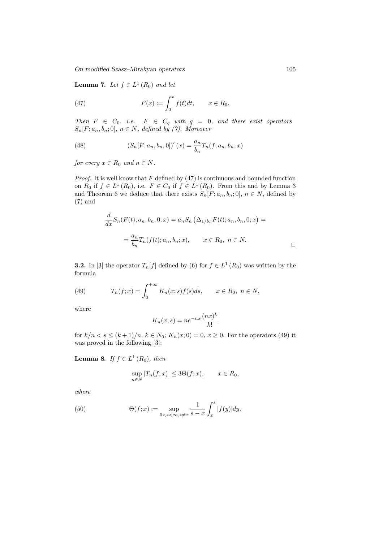**Lemma 7.** *Let*  $f \in L^1(R_0)$  *and let* 

(47) 
$$
F(x) := \int_0^x f(t)dt, \qquad x \in R_0.
$$

*Then*  $F \in C_0$ , *i.e.*  $F \in C_q$  *with*  $q = 0$ , *and there exist operators*  $S_n[F; a_n, b_n; 0], n \in N$ , defined by (7). Moreover

(48) 
$$
(S_n[F; a_n, b_n, 0])'(x) = \frac{a_n}{b_n} T_n(f; a_n, b_n; x)
$$

*for every*  $x \in R_0$  *and*  $n \in N$ *.* 

*Proof.* It is well know that  $F$  defined by  $(47)$  is continuous and bounded function on  $R_0$  if  $f \in L^1(R_0)$ , i.e.  $F \in C_0$  if  $f \in L^1(R_0)$ . From this and by Lemma 3 and Theorem 6 we deduce that there exists  $S_n[F; a_n, b_n; 0], n \in N$ , defined by (7) and

$$
\frac{d}{dx}S_n(F(t); a_n, b_n, 0; x) = a_n S_n \left( \Delta_{1/b_n} F(t); a_n, b_n, 0; x \right) =
$$
\n
$$
= \frac{a_n}{b_n} T_n(f(t); a_n, b_n; x), \qquad x \in R_0, \ n \in N.
$$

**3.2.** In [3] the operator  $T_n[f]$  defined by (6) for  $f \in L^1(R_0)$  was written by the formula

(49) 
$$
T_n(f; x) = \int_0^{+\infty} K_n(x; s) f(s) ds, \qquad x \in R_0, \ n \in N,
$$

where

$$
K_n(x; s) = n e^{-nx} \frac{(nx)^k}{k!}
$$

for  $k/n < s \le (k+1)/n$ ,  $k \in N_0$ ;  $K_n(x, 0) = 0$ ,  $x \ge 0$ . For the operators (49) it was proved in the following [3]:

**Lemma 8.** *If*  $f \in L^1(R_0)$ *, then* 

$$
\sup_{n \in N} |T_n(f; x)| \le 3\Theta(f; x), \qquad x \in R_0,
$$

*where*

(50) 
$$
\Theta(f; x) := \sup_{0 < s < \infty, s \neq x} \frac{1}{s - x} \int_x^s |f(y)| dy.
$$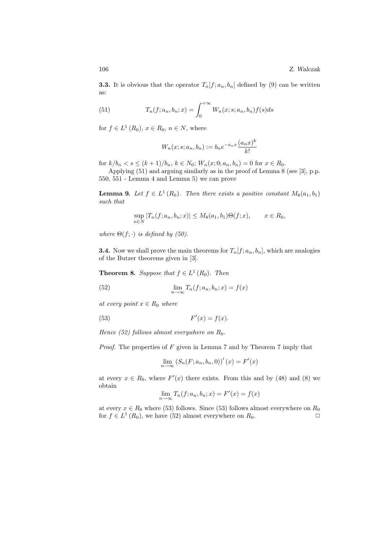**3.3.** It is obvious that the operator  $T_n[f; a_n, b_n]$  defined by (9) can be written as:

(51) 
$$
T_n(f; a_n, b_n; x) = \int_0^{+\infty} W_n(x; s; a_n, b_n) f(s) ds
$$

for  $f \in L^1(R_0)$ ,  $x \in R_0$ ,  $n \in N$ , where

$$
W_n(x; s; a_n, b_n) := b_n e^{-a_n x} \frac{(a_n x)^k}{k!}
$$

for  $k/b_n < s \le (k+1)/b_n$ ,  $k \in N_0$ ;  $W_n(x; 0; a_n, b_n) = 0$  for  $x \in R_0$ .

Applying (51) and arguing similarly as in the proof of Lemma 8 (see [3], p.p. 550, 551 - Lemma 4 and Lemma 5) we can prove

**Lemma 9.** *Let*  $f \in L^1(R_0)$ *. Then there exists a positive constant*  $M_8(a_1, b_1)$ *such that*

$$
\sup_{n \in N} |T_n(f; a_n, b_n; x)| \le M_8(a_1, b_1) \Theta(f; x), \qquad x \in R_0,
$$

*where*  $\Theta(f; \cdot)$  *is defined by (50).* 

**3.4.** Now we shall prove the main theorems for  $T_n[f; a_n, b_n]$ , which are analogies of the Butzer theorems given in [3].

**Theorem 8.** *Suppose that*  $f \in L^1(R_0)$ *. Then* 

(52) 
$$
\lim_{n \to \infty} T_n(f; a_n, b_n; x) = f(x)
$$

*at every point*  $x \in R_0$  *where* 

(53) 
$$
F'(x) = f(x).
$$

*Hence* (52) follows almost everywhere on  $R_0$ .

*Proof.* The properties of F given in Lemma 7 and by Theorem 7 imply that

$$
\lim_{n \to \infty} \left( S_n(F; a_n, b_n, 0) \right)'(x) = F'(x)
$$

at every  $x \in R_0$ , where  $F'(x)$  there exists. From this and by (48) and (8) we obtain

$$
\lim_{n \to \infty} T_n(f; a_n, b_n; x) = F'(x) = f(x)
$$

at every  $x \in R_0$  where (53) follows. Since (53) follows almost everywhere on  $R_0$ for  $f \in L^1(R_0)$ , we have (52) almost everywhere on  $R_0$ .